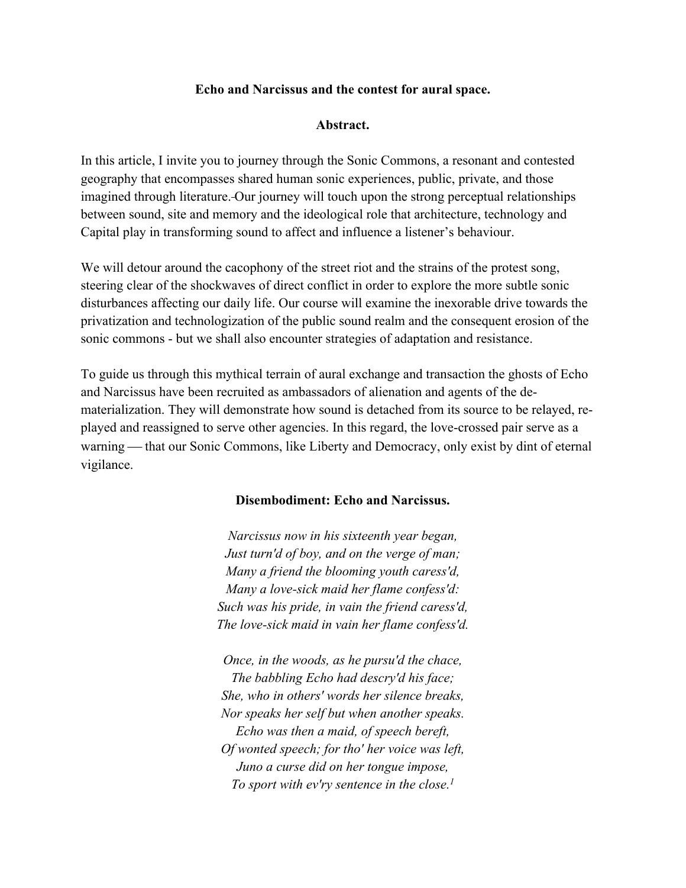#### **Echo and Narcissus and the contest for aural space.**

#### **Abstract.**

In this article, I invite you to journey through the Sonic Commons, a resonant and contested geography that encompasses shared human sonic experiences, public, private, and those imagined through literature. Our journey will touch upon the strong perceptual relationships between sound, site and memory and the ideological role that architecture, technology and Capital play in transforming sound to affect and influence a listener's behaviour.

We will detour around the cacophony of the street riot and the strains of the protest song, steering clear of the shockwaves of direct conflict in order to explore the more subtle sonic disturbances affecting our daily life. Our course will examine the inexorable drive towards the privatization and technologization of the public sound realm and the consequent erosion of the sonic commons - but we shall also encounter strategies of adaptation and resistance.

To guide us through this mythical terrain of aural exchange and transaction the ghosts of Echo and Narcissus have been recruited as ambassadors of alienation and agents of the dematerialization. They will demonstrate how sound is detached from its source to be relayed, replayed and reassigned to serve other agencies. In this regard, the love-crossed pair serve as a warning — that our Sonic Commons, like Liberty and Democracy, only exist by dint of eternal vigilance.

#### **Disembodiment: Echo and Narcissus.**

*Narcissus now in his sixteenth year began, Just turn'd of boy, and on the verge of man; Many a friend the blooming youth caress'd, Many a love-sick maid her flame confess'd: Such was his pride, in vain the friend caress'd, The love-sick maid in vain her flame confess'd.* 

*Once, in the woods, as he pursu'd the chace, The babbling Echo had descry'd his face; She, who in others' words her silence breaks, Nor speaks her self but when another speaks. Echo was then a maid, of speech bereft, Of wonted speech; for tho' her voice was left, Juno a curse did on her tongue impose, To sport with ev'ry sentence in the close.1*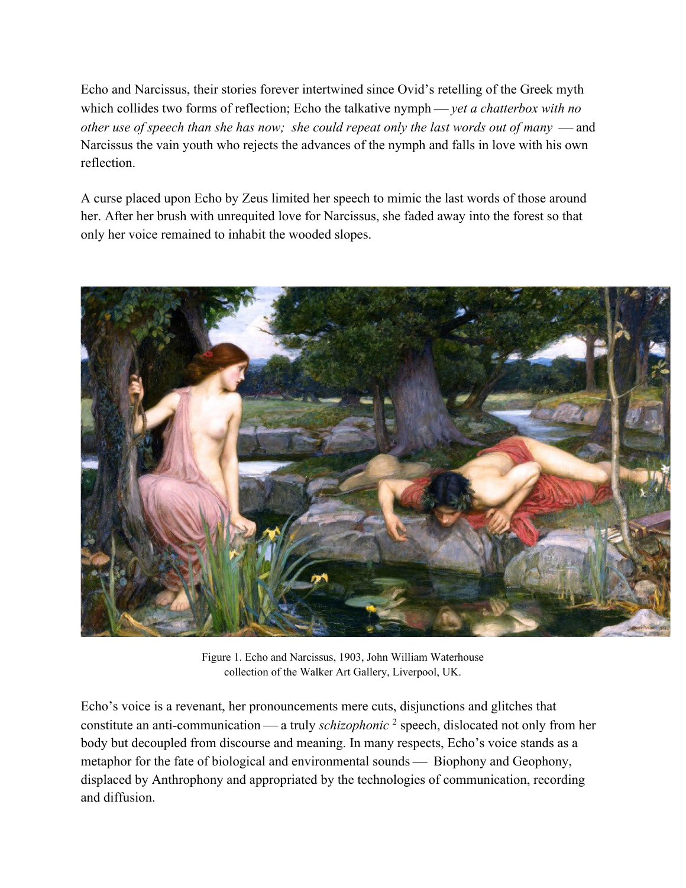Echo and Narcissus, their stories forever intertwined since Ovid's retelling of the Greek myth which collides two forms of reflection; Echo the talkative nymph — *yet a chatterbox with no other use of speech than she has now; she could repeat only the last words out of many*  $-$  and Narcissus the vain youth who rejects the advances of the nymph and falls in love with his own reflection.

A curse placed upon Echo by Zeus limited her speech to mimic the last words of those around her. After her brush with unrequited love for Narcissus, she faded away into the forest so that only her voice remained to inhabit the wooded slopes.



Figure 1. Echo and Narcissus, 1903, John William Waterhouse collection of the Walker Art Gallery, Liverpool, UK.

Echo's voice is a revenant, her pronouncements mere cuts, disjunctions and glitches that constitute an anti-communication — a truly *schizophonic*<sup>2</sup> speech, dislocated not only from her body but decoupled from discourse and meaning. In many respects, Echo's voice stands as a metaphor for the fate of biological and environmental sounds — Biophony and Geophony, displaced by Anthrophony and appropriated by the technologies of communication, recording and diffusion.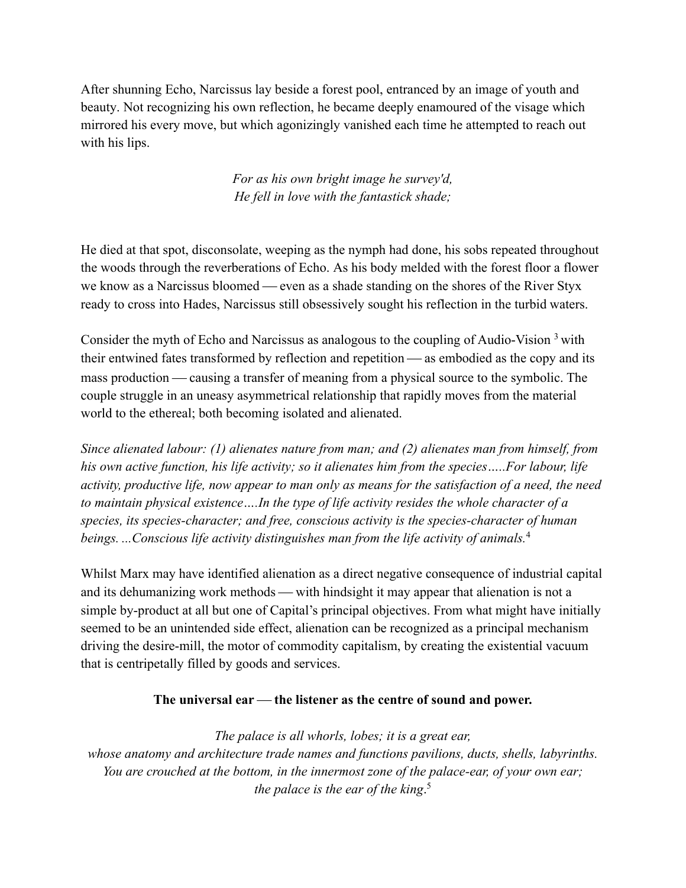After shunning Echo, Narcissus lay beside a forest pool, entranced by an image of youth and beauty. Not recognizing his own reflection, he became deeply enamoured of the visage which mirrored his every move, but which agonizingly vanished each time he attempted to reach out with his lips.

> *For as his own bright image he survey'd, He fell in love with the fantastick shade;*

He died at that spot, disconsolate, weeping as the nymph had done, his sobs repeated throughout the woods through the reverberations of Echo. As his body melded with the forest floor a flower we know as a Narcissus bloomed — even as a shade standing on the shores of the River Styx ready to cross into Hades, Narcissus still obsessively sought his reflection in the turbid waters.

Consider the myth of Echo and Narcissus as analogous to the coupling of Audio-Vision  $3$  with their entwined fates transformed by reflection and repetition — as embodied as the copy and its mass production — causing a transfer of meaning from a physical source to the symbolic. The couple struggle in an uneasy asymmetrical relationship that rapidly moves from the material world to the ethereal; both becoming isolated and alienated.

*Since alienated labour: (1) alienates nature from man; and (2) alienates man from himself, from his own active function, his life activity; so it alienates him from the species…..For labour, life activity, productive life, now appear to man only as means for the satisfaction of a need, the need to maintain physical existence….In the type of life activity resides the whole character of a species, its species-character; and free, conscious activity is the species-character of human beings. ...Conscious life activity distinguishes man from the life activity of animals.*<sup>4</sup>

Whilst Marx may have identified alienation as a direct negative consequence of industrial capital and its dehumanizing work methods — with hindsight it may appear that alienation is not a simple by-product at all but one of Capital's principal objectives. From what might have initially seemed to be an unintended side effect, alienation can be recognized as a principal mechanism driving the desire-mill, the motor of commodity capitalism, by creating the existential vacuum that is centripetally filled by goods and services.

### The universal ear — the listener as the centre of sound and power.

#### *The palace is all whorls, lobes; it is a great ear,*

*whose anatomy and architecture trade names and functions pavilions, ducts, shells, labyrinths. You are crouched at the bottom, in the innermost zone of the palace-ear, of your own ear; the palace is the ear of the king*. 5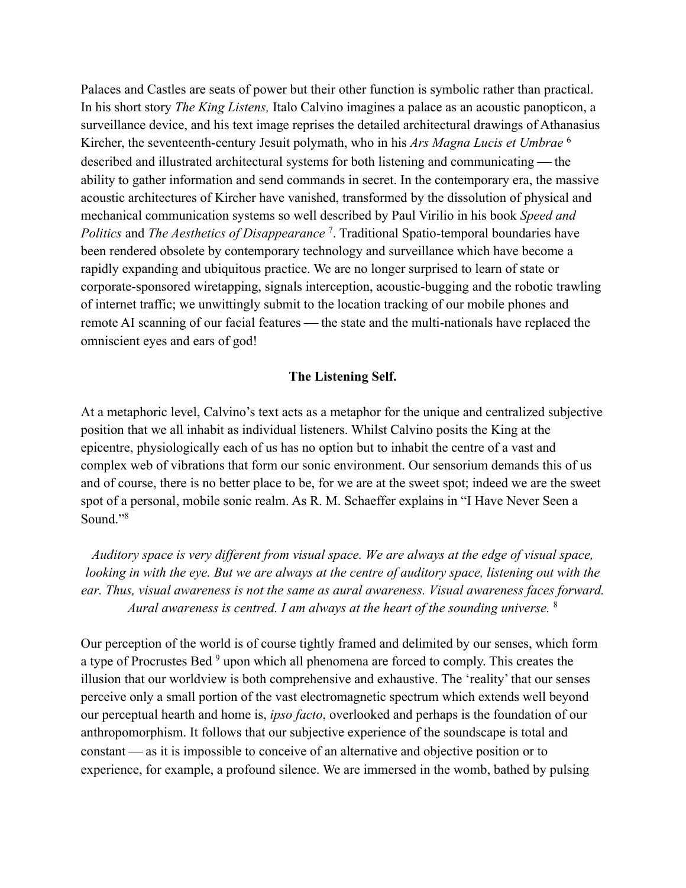Palaces and Castles are seats of power but their other function is symbolic rather than practical. In his short story *The King Listens,* Italo Calvino imagines a palace as an acoustic panopticon, a surveillance device, and his text image reprises the detailed architectural drawings of Athanasius Kircher, the seventeenth-century Jesuit polymath, who in his *Ars Magna Lucis et Umbrae* <sup>6</sup> described and illustrated architectural systems for both listening and communicating — the ability to gather information and send commands in secret. In the contemporary era, the massive acoustic architectures of Kircher have vanished, transformed by the dissolution of physical and mechanical communication systems so well described by Paul Virilio in his book *Speed and Politics* and *The Aesthetics of Disappearance*<sup>7</sup>. Traditional Spatio-temporal boundaries have been rendered obsolete by contemporary technology and surveillance which have become a rapidly expanding and ubiquitous practice. We are no longer surprised to learn of state or corporate-sponsored wiretapping, signals interception, acoustic-bugging and the robotic trawling of internet traffic; we unwittingly submit to the location tracking of our mobile phones and remote AI scanning of our facial features — the state and the multi-nationals have replaced the omniscient eyes and ears of god!

#### **The Listening Self.**

At a metaphoric level, Calvino's text acts as a metaphor for the unique and centralized subjective position that we all inhabit as individual listeners. Whilst Calvino posits the King at the epicentre, physiologically each of us has no option but to inhabit the centre of a vast and complex web of vibrations that form our sonic environment. Our sensorium demands this of us and of course, there is no better place to be, for we are at the sweet spot; indeed we are the sweet spot of a personal, mobile sonic realm. As R. M. Schaeffer explains in "I Have Never Seen a Sound."8

*Auditory space is very different from visual space. We are always at the edge of visual space, looking in with the eye. But we are always at the centre of auditory space, listening out with the ear. Thus, visual awareness is not the same as aural awareness. Visual awareness faces forward. Aural awareness is centred. I am always at the heart of the sounding universe.* <sup>8</sup>

Our perception of the world is of course tightly framed and delimited by our senses, which form a type of Procrustes Bed <sup>9</sup> upon which all phenomena are forced to comply. This creates the illusion that our worldview is both comprehensive and exhaustive. The 'reality' that our senses perceive only a small portion of the vast electromagnetic spectrum which extends well beyond our perceptual hearth and home is, *ipso facto*, overlooked and perhaps is the foundation of our anthropomorphism. It follows that our subjective experience of the soundscape is total and constant — as it is impossible to conceive of an alternative and objective position or to experience, for example, a profound silence. We are immersed in the womb, bathed by pulsing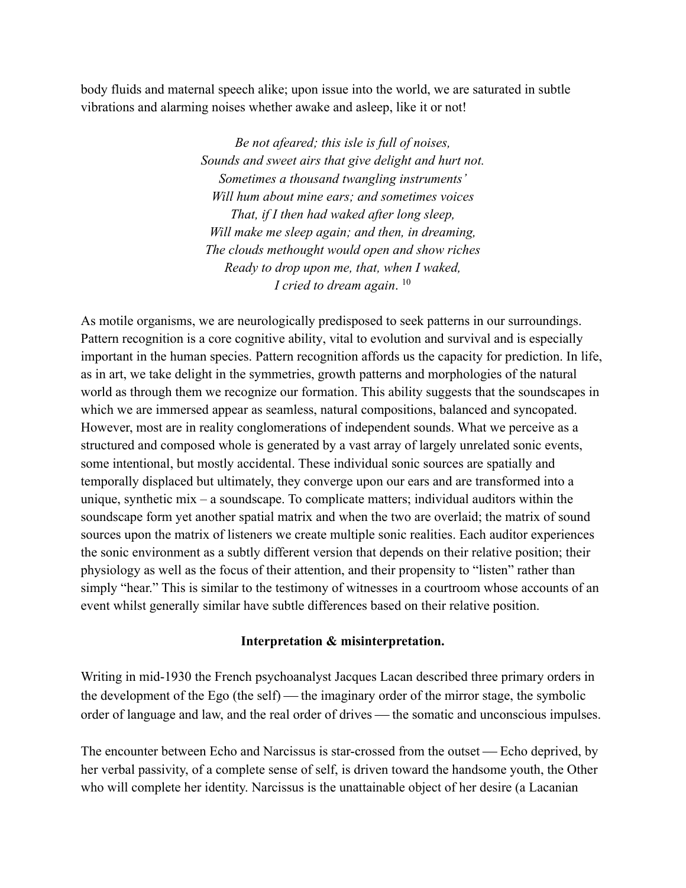body fluids and maternal speech alike; upon issue into the world, we are saturated in subtle vibrations and alarming noises whether awake and asleep, like it or not!

> *Be not afeared; this isle is full of noises, Sounds and sweet airs that give delight and hurt not. Sometimes a thousand twangling instruments' Will hum about mine ears; and sometimes voices That, if I then had waked after long sleep, Will make me sleep again; and then, in dreaming, The clouds methought would open and show riches Ready to drop upon me, that, when I waked, I* cried to dream again. <sup>10</sup>

As motile organisms, we are neurologically predisposed to seek patterns in our surroundings. Pattern recognition is a core cognitive ability, vital to evolution and survival and is especially important in the human species. Pattern recognition affords us the capacity for prediction. In life, as in art, we take delight in the symmetries, growth patterns and morphologies of the natural world as through them we recognize our formation. This ability suggests that the soundscapes in which we are immersed appear as seamless, natural compositions, balanced and syncopated. However, most are in reality conglomerations of independent sounds. What we perceive as a structured and composed whole is generated by a vast array of largely unrelated sonic events, some intentional, but mostly accidental. These individual sonic sources are spatially and temporally displaced but ultimately, they converge upon our ears and are transformed into a unique, synthetic mix – a soundscape. To complicate matters; individual auditors within the soundscape form yet another spatial matrix and when the two are overlaid; the matrix of sound sources upon the matrix of listeners we create multiple sonic realities. Each auditor experiences the sonic environment as a subtly different version that depends on their relative position; their physiology as well as the focus of their attention, and their propensity to "listen" rather than simply "hear." This is similar to the testimony of witnesses in a courtroom whose accounts of an event whilst generally similar have subtle differences based on their relative position.

#### **Interpretation & misinterpretation.**

Writing in mid-1930 the French psychoanalyst Jacques Lacan described three primary orders in the development of the Ego (the self) — the imaginary order of the mirror stage, the symbolic order of language and law, and the real order of drives — the somatic and unconscious impulses.

The encounter between Echo and Narcissus is star-crossed from the outset — Echo deprived, by her verbal passivity, of a complete sense of self, is driven toward the handsome youth, the Other who will complete her identity. Narcissus is the unattainable object of her desire (a Lacanian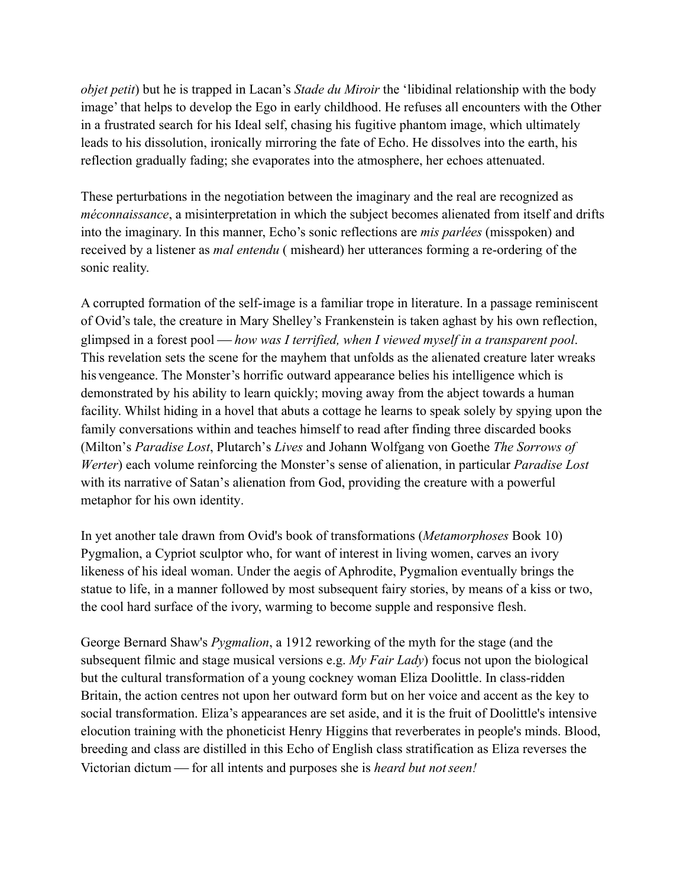*objet petit*) but he is trapped in Lacan's *Stade du Miroir* the 'libidinal relationship with the body image' that helps to develop the Ego in early childhood. He refuses all encounters with the Other in a frustrated search for his Ideal self, chasing his fugitive phantom image, which ultimately leads to his dissolution, ironically mirroring the fate of Echo. He dissolves into the earth, his reflection gradually fading; she evaporates into the atmosphere, her echoes attenuated.

These perturbations in the negotiation between the imaginary and the real are recognized as *méconnaissance*, a misinterpretation in which the subject becomes alienated from itself and drifts into the imaginary. In this manner, Echo's sonic reflections are *mis parlées* (misspoken) and received by a listener as *mal entendu* ( misheard) her utterances forming a re-ordering of the sonic reality.

A corrupted formation of the self-image is a familiar trope in literature. In a passage reminiscent of Ovid's tale, the creature in Mary Shelley's Frankenstein is taken aghast by his own reflection, glimpsed in a forest pool — *how was I terrified, when I viewed myself in a transparent pool.* This revelation sets the scene for the mayhem that unfolds as the alienated creature later wreaks his vengeance. The Monster's horrific outward appearance belies his intelligence which is demonstrated by his ability to learn quickly; moving away from the abject towards a human facility. Whilst hiding in a hovel that abuts a cottage he learns to speak solely by spying upon the family conversations within and teaches himself to read after finding three discarded books (Milton's *Paradise Lost*, Plutarch's *Lives* and Johann Wolfgang von Goethe *The Sorrows of Werter*) each volume reinforcing the Monster's sense of alienation, in particular *Paradise Lost* with its narrative of Satan's alienation from God, providing the creature with a powerful metaphor for his own identity.

In yet another tale drawn from Ovid's book of transformations (*Metamorphoses* Book 10) Pygmalion, a Cypriot sculptor who, for want of interest in living women, carves an ivory likeness of his ideal woman. Under the aegis of Aphrodite, Pygmalion eventually brings the statue to life, in a manner followed by most subsequent fairy stories, by means of a kiss or two, the cool hard surface of the ivory, warming to become supple and responsive flesh.

George Bernard Shaw's *Pygmalion*, a 1912 reworking of the myth for the stage (and the subsequent filmic and stage musical versions e.g. *My Fair Lady*) focus not upon the biological but the cultural transformation of a young cockney woman Eliza Doolittle. In class-ridden Britain, the action centres not upon her outward form but on her voice and accent as the key to social transformation. Eliza's appearances are set aside, and it is the fruit of Doolittle's intensive elocution training with the phoneticist Henry Higgins that reverberates in people's minds. Blood, breeding and class are distilled in this Echo of English class stratification as Eliza reverses the Victorian dictum ¾ for all intents and purposes she is *heard but not seen!*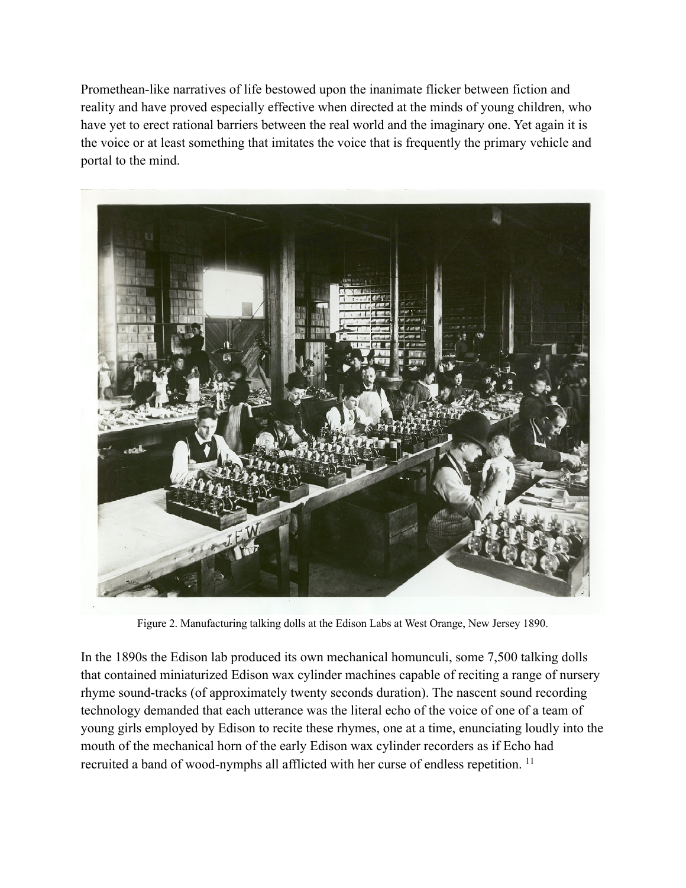Promethean-like narratives of life bestowed upon the inanimate flicker between fiction and reality and have proved especially effective when directed at the minds of young children, who have yet to erect rational barriers between the real world and the imaginary one. Yet again it is the voice or at least something that imitates the voice that is frequently the primary vehicle and portal to the mind.



Figure 2. Manufacturing talking dolls at the Edison Labs at West Orange, New Jersey 1890.

In the 1890s the Edison lab produced its own mechanical homunculi, some 7,500 talking dolls that contained miniaturized Edison wax cylinder machines capable of reciting a range of nursery rhyme sound-tracks (of approximately twenty seconds duration). The nascent sound recording technology demanded that each utterance was the literal echo of the voice of one of a team of young girls employed by Edison to recite these rhymes, one at a time, enunciating loudly into the mouth of the mechanical horn of the early Edison wax cylinder recorders as if Echo had recruited a band of wood-nymphs all afflicted with her curse of endless repetition.<sup>11</sup>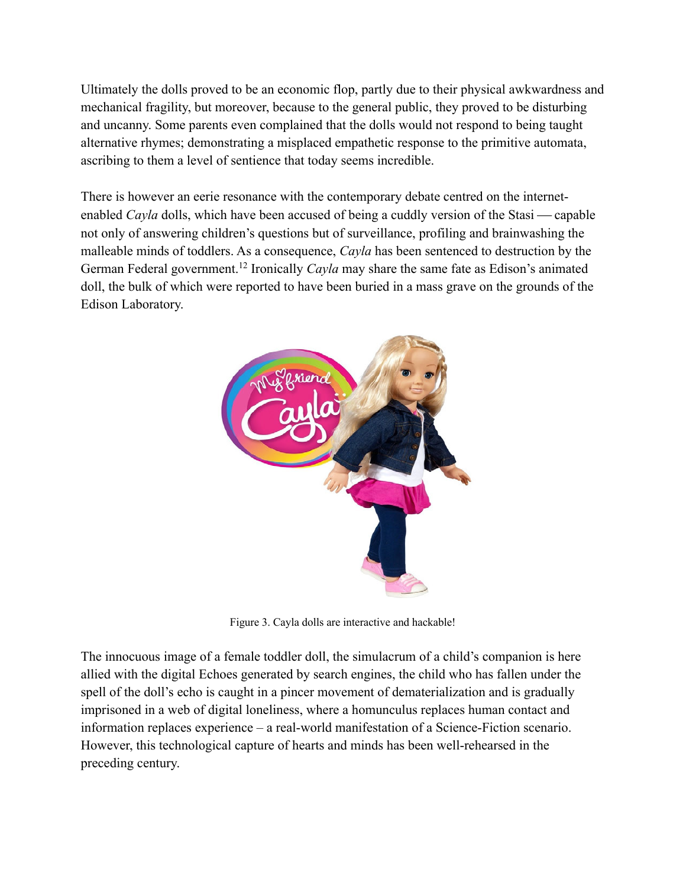Ultimately the dolls proved to be an economic flop, partly due to their physical awkwardness and mechanical fragility, but moreover, because to the general public, they proved to be disturbing and uncanny. Some parents even complained that the dolls would not respond to being taught alternative rhymes; demonstrating a misplaced empathetic response to the primitive automata, ascribing to them a level of sentience that today seems incredible.

There is however an eerie resonance with the contemporary debate centred on the internetenabled *Cayla* dolls, which have been accused of being a cuddly version of the Stasi — capable not only of answering children's questions but of surveillance, profiling and brainwashing the malleable minds of toddlers. As a consequence, *Cayla* has been sentenced to destruction by the German Federal government.12 Ironically *Cayla* may share the same fate as Edison's animated doll, the bulk of which were reported to have been buried in a mass grave on the grounds of the Edison Laboratory.



Figure 3. Cayla dolls are interactive and hackable!

The innocuous image of a female toddler doll, the simulacrum of a child's companion is here allied with the digital Echoes generated by search engines, the child who has fallen under the spell of the doll's echo is caught in a pincer movement of dematerialization and is gradually imprisoned in a web of digital loneliness, where a homunculus replaces human contact and information replaces experience – a real-world manifestation of a Science-Fiction scenario. However, this technological capture of hearts and minds has been well-rehearsed in the preceding century.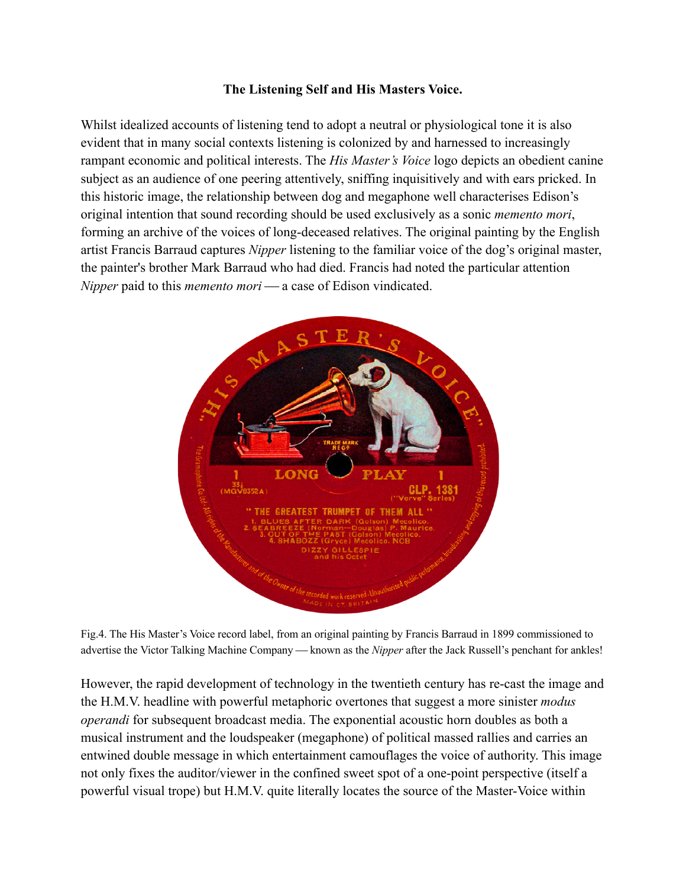## **The Listening Self and His Masters Voice.**

Whilst idealized accounts of listening tend to adopt a neutral or physiological tone it is also evident that in many social contexts listening is colonized by and harnessed to increasingly rampant economic and political interests. The *His Master's Voice* logo depicts an obedient canine subject as an audience of one peering attentively, sniffing inquisitively and with ears pricked. In this historic image, the relationship between dog and megaphone well characterises Edison's original intention that sound recording should be used exclusively as a sonic *memento mori*, forming an archive of the voices of long-deceased relatives. The original painting by the English artist Francis Barraud captures *Nipper* listening to the familiar voice of the dog's original master, the painter's brother Mark Barraud who had died. Francis had noted the particular attention *Nipper* paid to this *memento mori* — a case of Edison vindicated.



Fig.4. The His Master's Voice record label, from an original painting by Francis Barraud in 1899 commissioned to advertise the Victor Talking Machine Company — known as the *Nipper* after the Jack Russell's penchant for ankles!

However, the rapid development of technology in the twentieth century has re-cast the image and the H.M.V. headline with powerful metaphoric overtones that suggest a more sinister *modus operandi* for subsequent broadcast media. The exponential acoustic horn doubles as both a musical instrument and the loudspeaker (megaphone) of political massed rallies and carries an entwined double message in which entertainment camouflages the voice of authority. This image not only fixes the auditor/viewer in the confined sweet spot of a one-point perspective (itself a powerful visual trope) but H.M.V. quite literally locates the source of the Master-Voice within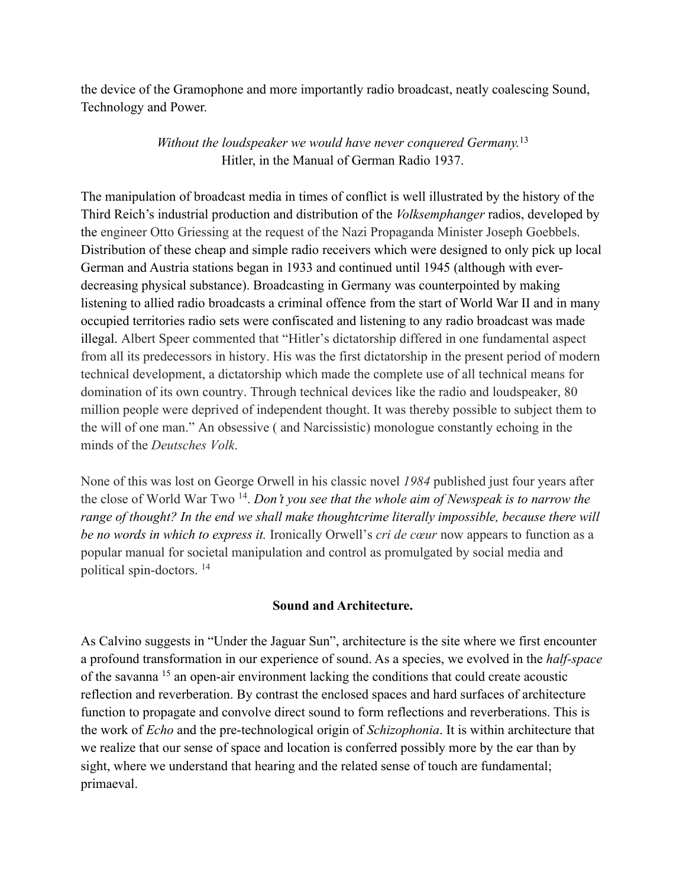the device of the Gramophone and more importantly radio broadcast, neatly coalescing Sound, Technology and Power.

> *Without the loudspeaker we would have never conquered Germany.*<sup>13</sup> Hitler, in the Manual of German Radio 1937.

The manipulation of broadcast media in times of conflict is well illustrated by the history of the Third Reich's industrial production and distribution of the *Volksemphanger* radios, developed by the engineer Otto Griessing at the request of the Nazi Propaganda Minister Joseph Goebbels. Distribution of these cheap and simple radio receivers which were designed to only pick up local German and Austria stations began in 1933 and continued until 1945 (although with everdecreasing physical substance). Broadcasting in Germany was counterpointed by making listening to allied radio broadcasts a criminal offence from the start of World War II and in many occupied territories radio sets were confiscated and listening to any radio broadcast was made illegal. Albert Speer commented that "Hitler's dictatorship differed in one fundamental aspect from all its predecessors in history. His was the first dictatorship in the present period of modern technical development, a dictatorship which made the complete use of all technical means for domination of its own country. Through technical devices like the radio and loudspeaker, 80 million people were deprived of independent thought. It was thereby possible to subject them to the will of one man." An obsessive ( and Narcissistic) monologue constantly echoing in the minds of the *Deutsches Volk*.

None of this was lost on George Orwell in his classic novel *1984* published just four years after the close of World War Two 14. *Don't you see that the whole aim of Newspeak is to narrow the range of thought? In the end we shall make thoughtcrime literally impossible, because there will be no words in which to express it.* Ironically Orwell's *cri de cœur* now appears to function as a popular manual for societal manipulation and control as promulgated by social media and political spin-doctors. 14

## **Sound and Architecture.**

As Calvino suggests in "Under the Jaguar Sun", architecture is the site where we first encounter a profound transformation in our experience of sound. As a species, we evolved in the *half-space*  of the savanna 15 an open-air environment lacking the conditions that could create acoustic reflection and reverberation. By contrast the enclosed spaces and hard surfaces of architecture function to propagate and convolve direct sound to form reflections and reverberations. This is the work of *Echo* and the pre-technological origin of *Schizophonia*. It is within architecture that we realize that our sense of space and location is conferred possibly more by the ear than by sight, where we understand that hearing and the related sense of touch are fundamental; primaeval.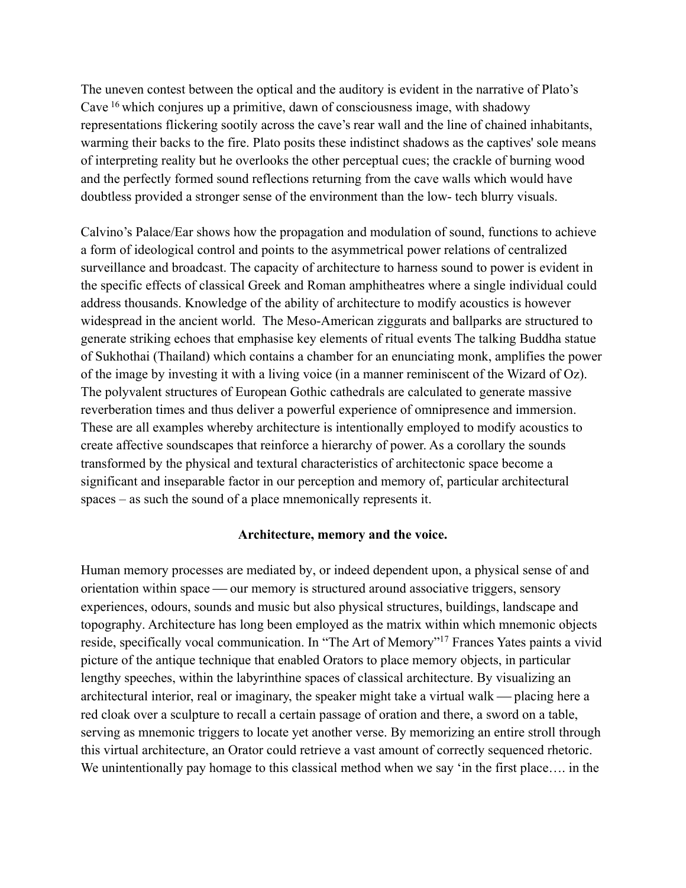The uneven contest between the optical and the auditory is evident in the narrative of Plato's Cave 16 which conjures up a primitive, dawn of consciousness image, with shadowy representations flickering sootily across the cave's rear wall and the line of chained inhabitants, warming their backs to the fire. Plato posits these indistinct shadows as the captives' sole means of interpreting reality but he overlooks the other perceptual cues; the crackle of burning wood and the perfectly formed sound reflections returning from the cave walls which would have doubtless provided a stronger sense of the environment than the low- tech blurry visuals.

Calvino's Palace/Ear shows how the propagation and modulation of sound, functions to achieve a form of ideological control and points to the asymmetrical power relations of centralized surveillance and broadcast. The capacity of architecture to harness sound to power is evident in the specific effects of classical Greek and Roman amphitheatres where a single individual could address thousands. Knowledge of the ability of architecture to modify acoustics is however widespread in the ancient world. The Meso-American ziggurats and ballparks are structured to generate striking echoes that emphasise key elements of ritual events The talking Buddha statue of Sukhothai (Thailand) which contains a chamber for an enunciating monk, amplifies the power of the image by investing it with a living voice (in a manner reminiscent of the Wizard of Oz). The polyvalent structures of European Gothic cathedrals are calculated to generate massive reverberation times and thus deliver a powerful experience of omnipresence and immersion. These are all examples whereby architecture is intentionally employed to modify acoustics to create affective soundscapes that reinforce a hierarchy of power. As a corollary the sounds transformed by the physical and textural characteristics of architectonic space become a significant and inseparable factor in our perception and memory of, particular architectural spaces – as such the sound of a place mnemonically represents it.

### **Architecture, memory and the voice.**

Human memory processes are mediated by, or indeed dependent upon, a physical sense of and orientation within space — our memory is structured around associative triggers, sensory experiences, odours, sounds and music but also physical structures, buildings, landscape and topography. Architecture has long been employed as the matrix within which mnemonic objects reside, specifically vocal communication. In "The Art of Memory"17 Frances Yates paints a vivid picture of the antique technique that enabled Orators to place memory objects, in particular lengthy speeches, within the labyrinthine spaces of classical architecture. By visualizing an architectural interior, real or imaginary, the speaker might take a virtual walk  $-$  placing here a red cloak over a sculpture to recall a certain passage of oration and there, a sword on a table, serving as mnemonic triggers to locate yet another verse. By memorizing an entire stroll through this virtual architecture, an Orator could retrieve a vast amount of correctly sequenced rhetoric. We unintentionally pay homage to this classical method when we say 'in the first place.... in the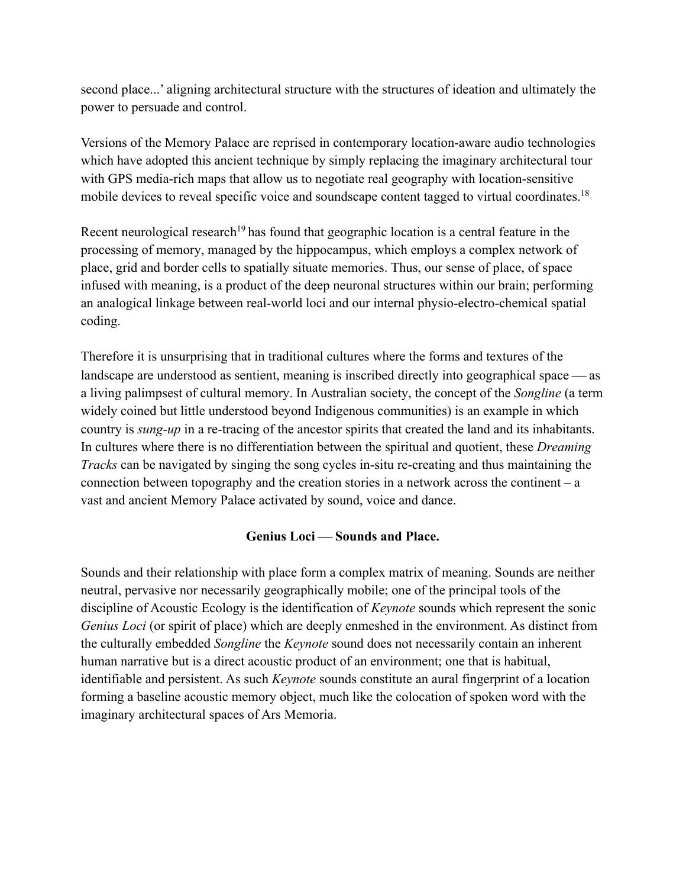second place...' aligning architectural structure with the structures of ideation and ultimately the power to persuade and control.

Versions of the Memory Palace are reprised in contemporary location-aware audio technologies which have adopted this ancient technique by simply replacing the imaginary architectural tour with GPS media-rich maps that allow us to negotiate real geography with location-sensitive mobile devices to reveal specific voice and soundscape content tagged to virtual coordinates.<sup>18</sup>

Recent neurological research<sup>19</sup> has found that geographic location is a central feature in the processing of memory, managed by the hippocampus, which employs a complex network of place, grid and border cells to spatially situate memories. Thus, our sense of place, of space infused with meaning, is a product of the deep neuronal structures within our brain; performing an analogical linkage between real-world loci and our internal physio-electro-chemical spatial coding.

Therefore it is unsurprising that in traditional cultures where the forms and textures of the landscape are understood as sentient, meaning is inscribed directly into geographical space  $\sim$  as a living palimpsest of cultural memory. In Australian society, the concept of the *Songline* (a term widely coined but little understood beyond Indigenous communities) is an example in which country is *sung-up* in a re-tracing of the ancestor spirits that created the land and its inhabitants. In cultures where there is no differentiation between the spiritual and quotient, these *Dreaming Tracks* can be navigated by singing the song cycles in-situ re-creating and thus maintaining the connection between topography and the creation stories in a network across the continent – a vast and ancient Memory Palace activated by sound, voice and dance.

## Genius Loci – Sounds and Place.

Sounds and their relationship with place form a complex matrix of meaning. Sounds are neither neutral, pervasive nor necessarily geographically mobile; one of the principal tools of the discipline of Acoustic Ecology is the identification of *Keynote* sounds which represent the sonic *Genius Loci* (or spirit of place) which are deeply enmeshed in the environment. As distinct from the culturally embedded *Songline* the *Keynote* sound does not necessarily contain an inherent human narrative but is a direct acoustic product of an environment; one that is habitual, identifiable and persistent. As such *Keynote* sounds constitute an aural fingerprint of a location forming a baseline acoustic memory object, much like the colocation of spoken word with the imaginary architectural spaces of Ars Memoria.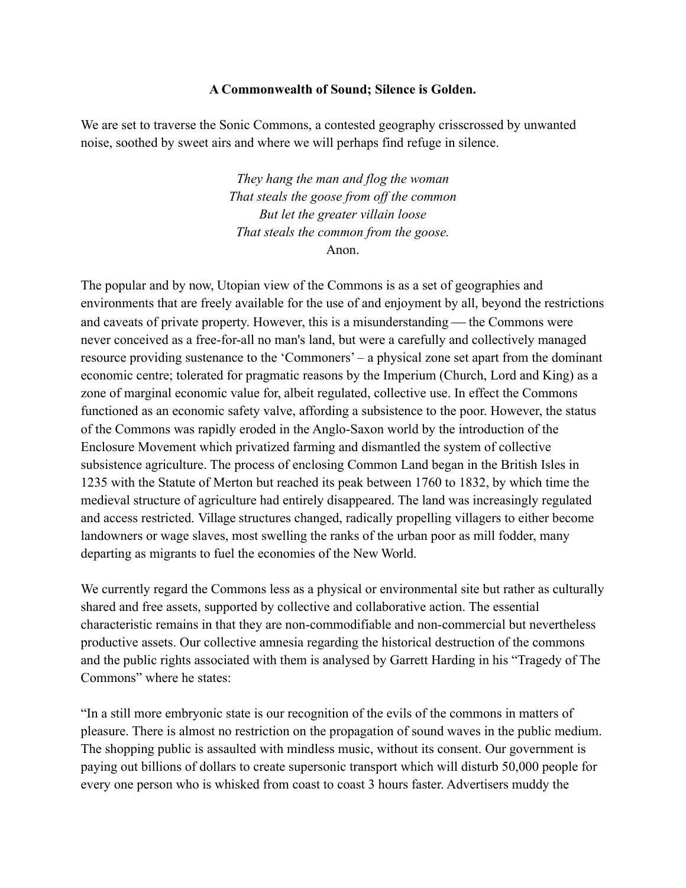### **A Commonwealth of Sound; Silence is Golden.**

We are set to traverse the Sonic Commons, a contested geography crisscrossed by unwanted noise, soothed by sweet airs and where we will perhaps find refuge in silence.

> *They hang the man and flog the woman That steals the goose from off the common But let the greater villain loose That steals the common from the goose.*  Anon.

The popular and by now, Utopian view of the Commons is as a set of geographies and environments that are freely available for the use of and enjoyment by all, beyond the restrictions and caveats of private property. However, this is a misunderstanding  $-$  the Commons were never conceived as a free-for-all no man's land, but were a carefully and collectively managed resource providing sustenance to the 'Commoners' – a physical zone set apart from the dominant economic centre; tolerated for pragmatic reasons by the Imperium (Church, Lord and King) as a zone of marginal economic value for, albeit regulated, collective use. In effect the Commons functioned as an economic safety valve, affording a subsistence to the poor. However, the status of the Commons was rapidly eroded in the Anglo-Saxon world by the introduction of the Enclosure Movement which privatized farming and dismantled the system of collective subsistence agriculture. The process of enclosing Common Land began in the British Isles in 1235 with the Statute of Merton but reached its peak between 1760 to 1832, by which time the medieval structure of agriculture had entirely disappeared. The land was increasingly regulated and access restricted. Village structures changed, radically propelling villagers to either become landowners or wage slaves, most swelling the ranks of the urban poor as mill fodder, many departing as migrants to fuel the economies of the New World.

We currently regard the Commons less as a physical or environmental site but rather as culturally shared and free assets, supported by collective and collaborative action. The essential characteristic remains in that they are non-commodifiable and non-commercial but nevertheless productive assets. Our collective amnesia regarding the historical destruction of the commons and the public rights associated with them is analysed by Garrett Harding in his "Tragedy of The Commons" where he states:

"In a still more embryonic state is our recognition of the evils of the commons in matters of pleasure. There is almost no restriction on the propagation of sound waves in the public medium. The shopping public is assaulted with mindless music, without its consent. Our government is paying out billions of dollars to create supersonic transport which will disturb 50,000 people for every one person who is whisked from coast to coast 3 hours faster. Advertisers muddy the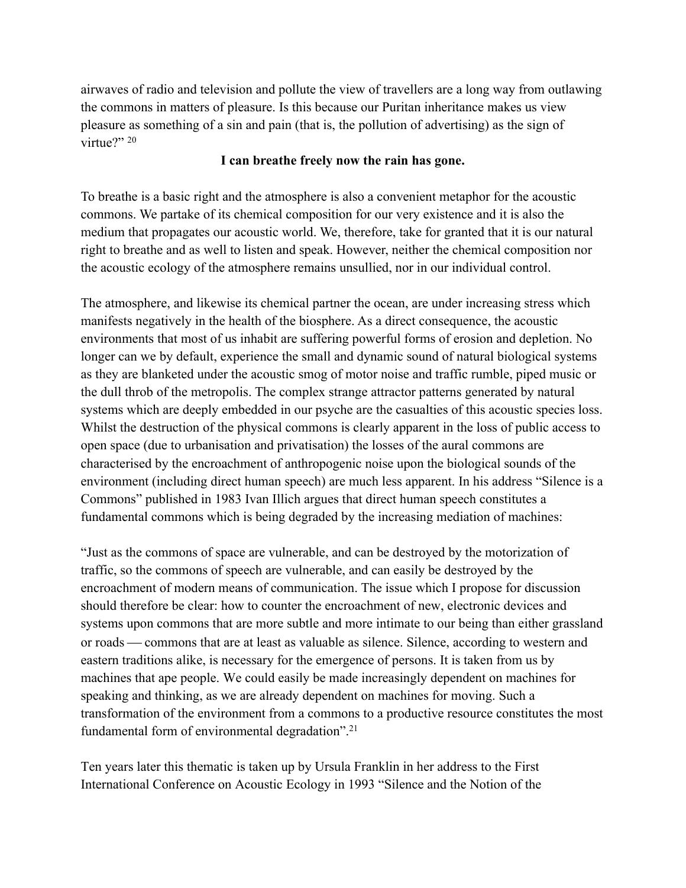airwaves of radio and television and pollute the view of travellers are a long way from outlawing the commons in matters of pleasure. Is this because our Puritan inheritance makes us view pleasure as something of a sin and pain (that is, the pollution of advertising) as the sign of virtue?" 20

## **I can breathe freely now the rain has gone.**

To breathe is a basic right and the atmosphere is also a convenient metaphor for the acoustic commons. We partake of its chemical composition for our very existence and it is also the medium that propagates our acoustic world. We, therefore, take for granted that it is our natural right to breathe and as well to listen and speak. However, neither the chemical composition nor the acoustic ecology of the atmosphere remains unsullied, nor in our individual control.

The atmosphere, and likewise its chemical partner the ocean, are under increasing stress which manifests negatively in the health of the biosphere. As a direct consequence, the acoustic environments that most of us inhabit are suffering powerful forms of erosion and depletion. No longer can we by default, experience the small and dynamic sound of natural biological systems as they are blanketed under the acoustic smog of motor noise and traffic rumble, piped music or the dull throb of the metropolis. The complex strange attractor patterns generated by natural systems which are deeply embedded in our psyche are the casualties of this acoustic species loss. Whilst the destruction of the physical commons is clearly apparent in the loss of public access to open space (due to urbanisation and privatisation) the losses of the aural commons are characterised by the encroachment of anthropogenic noise upon the biological sounds of the environment (including direct human speech) are much less apparent. In his address "Silence is a Commons" published in 1983 Ivan Illich argues that direct human speech constitutes a fundamental commons which is being degraded by the increasing mediation of machines:

"Just as the commons of space are vulnerable, and can be destroyed by the motorization of traffic, so the commons of speech are vulnerable, and can easily be destroyed by the encroachment of modern means of communication. The issue which I propose for discussion should therefore be clear: how to counter the encroachment of new, electronic devices and systems upon commons that are more subtle and more intimate to our being than either grassland or roads — commons that are at least as valuable as silence. Silence, according to western and eastern traditions alike, is necessary for the emergence of persons. It is taken from us by machines that ape people. We could easily be made increasingly dependent on machines for speaking and thinking, as we are already dependent on machines for moving. Such a transformation of the environment from a commons to a productive resource constitutes the most fundamental form of environmental degradation".21

Ten years later this thematic is taken up by Ursula Franklin in her address to the First International Conference on Acoustic Ecology in 1993 "Silence and the Notion of the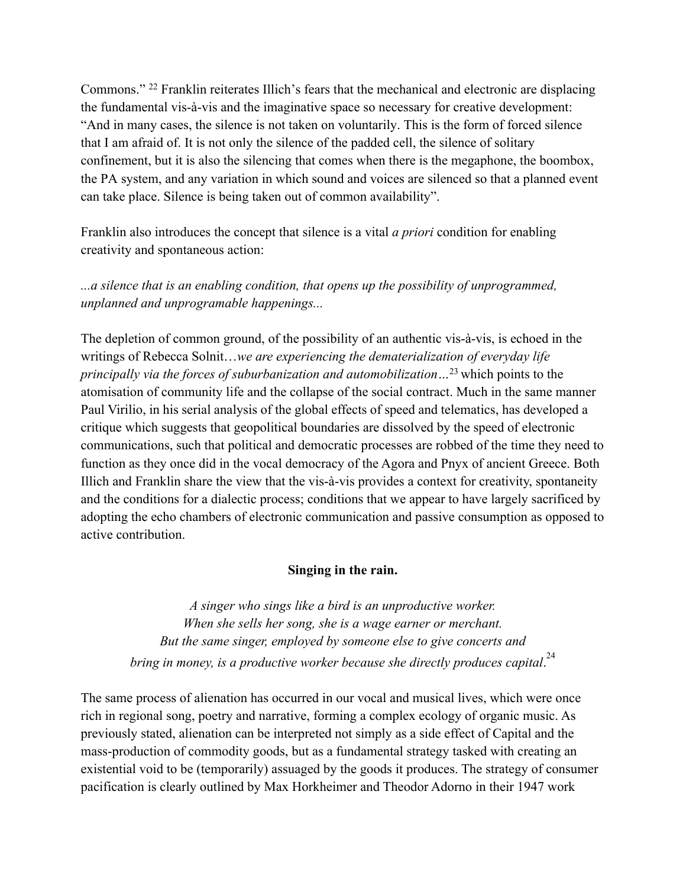Commons." 22 Franklin reiterates Illich's fears that the mechanical and electronic are displacing the fundamental vis-à-vis and the imaginative space so necessary for creative development: "And in many cases, the silence is not taken on voluntarily. This is the form of forced silence that I am afraid of. It is not only the silence of the padded cell, the silence of solitary confinement, but it is also the silencing that comes when there is the megaphone, the boombox, the PA system, and any variation in which sound and voices are silenced so that a planned event can take place. Silence is being taken out of common availability".

Franklin also introduces the concept that silence is a vital *a priori* condition for enabling creativity and spontaneous action:

# *...a silence that is an enabling condition, that opens up the possibility of unprogrammed, unplanned and unprogramable happenings...*

The depletion of common ground, of the possibility of an authentic vis-à-vis, is echoed in the writings of Rebecca Solnit…*we are experiencing the dematerialization of everyday life principally via the forces of suburbanization and automobilization…*23 which points to the atomisation of community life and the collapse of the social contract. Much in the same manner Paul Virilio, in his serial analysis of the global effects of speed and telematics, has developed a critique which suggests that geopolitical boundaries are dissolved by the speed of electronic communications, such that political and democratic processes are robbed of the time they need to function as they once did in the vocal democracy of the Agora and Pnyx of ancient Greece. Both Illich and Franklin share the view that the vis-à-vis provides a context for creativity, spontaneity and the conditions for a dialectic process; conditions that we appear to have largely sacrificed by adopting the echo chambers of electronic communication and passive consumption as opposed to active contribution.

### **Singing in the rain.**

*A singer who sings like a bird is an unproductive worker. When she sells her song, she is a wage earner or merchant. But the same singer, employed by someone else to give concerts and*  bring in money, is a productive worker because she directly produces capital.<sup>24</sup>

The same process of alienation has occurred in our vocal and musical lives, which were once rich in regional song, poetry and narrative, forming a complex ecology of organic music. As previously stated, alienation can be interpreted not simply as a side effect of Capital and the mass-production of commodity goods, but as a fundamental strategy tasked with creating an existential void to be (temporarily) assuaged by the goods it produces. The strategy of consumer pacification is clearly outlined by Max Horkheimer and Theodor Adorno in their 1947 work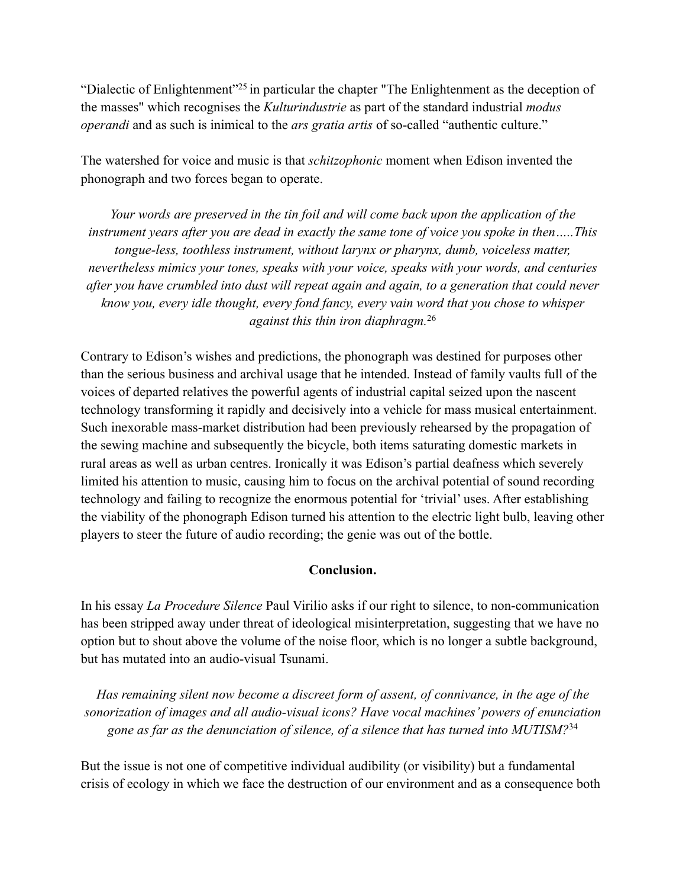"Dialectic of Enlightenment"<sup>25</sup> in particular the chapter "The Enlightenment as the deception of the masses" which recognises the *Kulturindustrie* as part of the standard industrial *modus operandi* and as such is inimical to the *ars gratia artis* of so-called "authentic culture."

The watershed for voice and music is that *schitzophonic* moment when Edison invented the phonograph and two forces began to operate.

*Your words are preserved in the tin foil and will come back upon the application of the instrument years after you are dead in exactly the same tone of voice you spoke in then…..This tongue-less, toothless instrument, without larynx or pharynx, dumb, voiceless matter, nevertheless mimics your tones, speaks with your voice, speaks with your words, and centuries after you have crumbled into dust will repeat again and again, to a generation that could never know you, every idle thought, every fond fancy, every vain word that you chose to whisper against this thin iron diaphragm.*<sup>26</sup>

Contrary to Edison's wishes and predictions, the phonograph was destined for purposes other than the serious business and archival usage that he intended. Instead of family vaults full of the voices of departed relatives the powerful agents of industrial capital seized upon the nascent technology transforming it rapidly and decisively into a vehicle for mass musical entertainment. Such inexorable mass-market distribution had been previously rehearsed by the propagation of the sewing machine and subsequently the bicycle, both items saturating domestic markets in rural areas as well as urban centres. Ironically it was Edison's partial deafness which severely limited his attention to music, causing him to focus on the archival potential of sound recording technology and failing to recognize the enormous potential for 'trivial' uses. After establishing the viability of the phonograph Edison turned his attention to the electric light bulb, leaving other players to steer the future of audio recording; the genie was out of the bottle.

### **Conclusion.**

In his essay *La Procedure Silence* Paul Virilio asks if our right to silence, to non-communication has been stripped away under threat of ideological misinterpretation, suggesting that we have no option but to shout above the volume of the noise floor, which is no longer a subtle background, but has mutated into an audio-visual Tsunami.

*Has remaining silent now become a discreet form of assent, of connivance, in the age of the sonorization of images and all audio-visual icons? Have vocal machines' powers of enunciation gone as far as the denunciation of silence, of a silence that has turned into MUTISM?*34

But the issue is not one of competitive individual audibility (or visibility) but a fundamental crisis of ecology in which we face the destruction of our environment and as a consequence both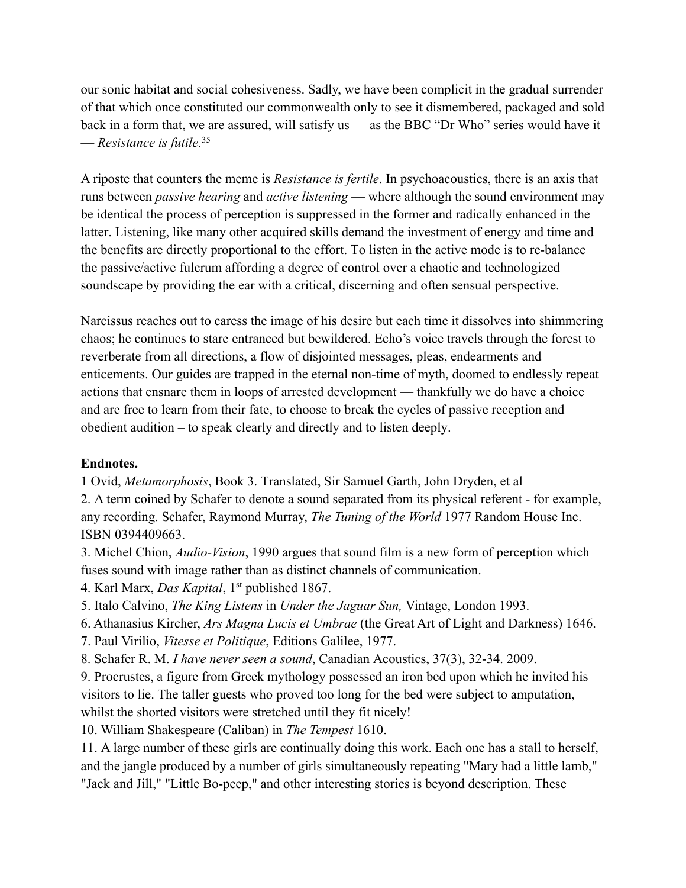our sonic habitat and social cohesiveness. Sadly, we have been complicit in the gradual surrender of that which once constituted our commonwealth only to see it dismembered, packaged and sold back in a form that, we are assured, will satisfy us — as the BBC "Dr Who" series would have it — *Resistance is futile.*<sup>35</sup>

A riposte that counters the meme is *Resistance is fertile*. In psychoacoustics, there is an axis that runs between *passive hearing* and *active listening* — where although the sound environment may be identical the process of perception is suppressed in the former and radically enhanced in the latter. Listening, like many other acquired skills demand the investment of energy and time and the benefits are directly proportional to the effort. To listen in the active mode is to re-balance the passive/active fulcrum affording a degree of control over a chaotic and technologized soundscape by providing the ear with a critical, discerning and often sensual perspective.

Narcissus reaches out to caress the image of his desire but each time it dissolves into shimmering chaos; he continues to stare entranced but bewildered. Echo's voice travels through the forest to reverberate from all directions, a flow of disjointed messages, pleas, endearments and enticements. Our guides are trapped in the eternal non-time of myth, doomed to endlessly repeat actions that ensnare them in loops of arrested development — thankfully we do have a choice and are free to learn from their fate, to choose to break the cycles of passive reception and obedient audition – to speak clearly and directly and to listen deeply.

# **Endnotes.**

1 Ovid, *Metamorphosis*, Book 3. Translated, Sir Samuel Garth, John Dryden, et al

2. A term coined by Schafer to denote a sound separated from its physical referent - for example, any recording. Schafer, Raymond Murray, *The Tuning of the World* 1977 Random House Inc. ISBN 0394409663.

3. Michel Chion, *Audio-Vision*, 1990 argues that sound film is a new form of perception which fuses sound with image rather than as distinct channels of communication.

4. Karl Marx, *Das Kapital*, 1st published 1867.

5. Italo Calvino, *The King Listens* in *Under the Jaguar Sun,* Vintage, London 1993.

6. Athanasius Kircher, *Ars Magna Lucis et Umbrae* (the Great Art of Light and Darkness) 1646.

- 7. Paul Virilio, *Vitesse et Politique*, Editions Galilee, 1977.
- 8. Schafer R. M. *I have never seen a sound*, Canadian Acoustics, 37(3), 32-34. 2009.

9. Procrustes, a figure from Greek mythology possessed an iron bed upon which he invited his visitors to lie. The taller guests who proved too long for the bed were subject to amputation, whilst the shorted visitors were stretched until they fit nicely!

10. William Shakespeare (Caliban) in *The Tempest* 1610.

11. A large number of these girls are continually doing this work. Each one has a stall to herself, and the jangle produced by a number of girls simultaneously repeating "Mary had a little lamb," "Jack and Jill," "Little Bo-peep," and other interesting stories is beyond description. These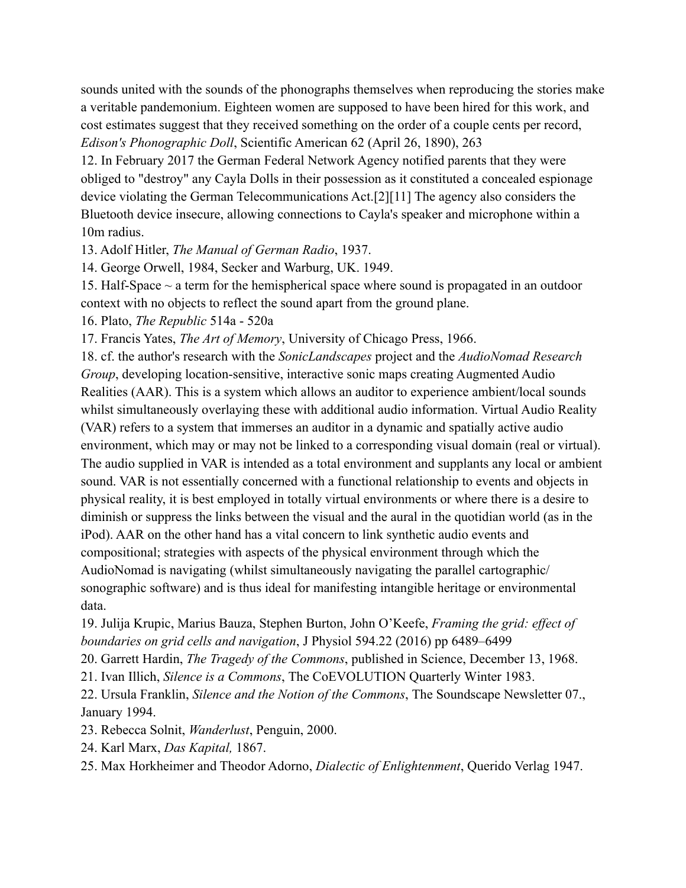sounds united with the sounds of the phonographs themselves when reproducing the stories make a veritable pandemonium. Eighteen women are supposed to have been hired for this work, and cost estimates suggest that they received something on the order of a couple cents per record, *Edison's Phonographic Doll*, Scientific American 62 (April 26, 1890), 263

12. In February 2017 the German Federal Network Agency notified parents that they were obliged to "destroy" any Cayla Dolls in their possession as it constituted a concealed espionage device violating the German Telecommunications Act.[2][11] The agency also considers the Bluetooth device insecure, allowing connections to Cayla's speaker and microphone within a 10m radius.

13. Adolf Hitler, *The Manual of German Radio*, 1937.

14. George Orwell, 1984, Secker and Warburg, UK. 1949.

15. Half-Space ~ a term for the hemispherical space where sound is propagated in an outdoor context with no objects to reflect the sound apart from the ground plane.

16. Plato, *The Republic* 514a - 520a

17. Francis Yates, *The Art of Memory*, University of Chicago Press, 1966.

18. cf. the author's research with the *SonicLandscapes* project and the *AudioNomad Research Group*, developing location-sensitive, interactive sonic maps creating Augmented Audio Realities (AAR). This is a system which allows an auditor to experience ambient/local sounds whilst simultaneously overlaying these with additional audio information. Virtual Audio Reality (VAR) refers to a system that immerses an auditor in a dynamic and spatially active audio environment, which may or may not be linked to a corresponding visual domain (real or virtual). The audio supplied in VAR is intended as a total environment and supplants any local or ambient sound. VAR is not essentially concerned with a functional relationship to events and objects in physical reality, it is best employed in totally virtual environments or where there is a desire to diminish or suppress the links between the visual and the aural in the quotidian world (as in the iPod). AAR on the other hand has a vital concern to link synthetic audio events and compositional; strategies with aspects of the physical environment through which the AudioNomad is navigating (whilst simultaneously navigating the parallel cartographic/ sonographic software) and is thus ideal for manifesting intangible heritage or environmental data.

19. Julija Krupic, Marius Bauza, Stephen Burton, John O'Keefe, *Framing the grid: effect of boundaries on grid cells and navigation*, J Physiol 594.22 (2016) pp 6489–6499

20. Garrett Hardin, *The Tragedy of the Commons*, published in Science, December 13, 1968.

21. Ivan Illich, *Silence is a Commons*, The CoEVOLUTION Quarterly Winter 1983.

22. Ursula Franklin, *Silence and the Notion of the Commons*, The Soundscape Newsletter 07., January 1994.

23. Rebecca Solnit, *Wanderlust*, Penguin, 2000.

24. Karl Marx, *Das Kapital,* 1867.

25. Max Horkheimer and Theodor Adorno, *Dialectic of Enlightenment*, Querido Verlag 1947.